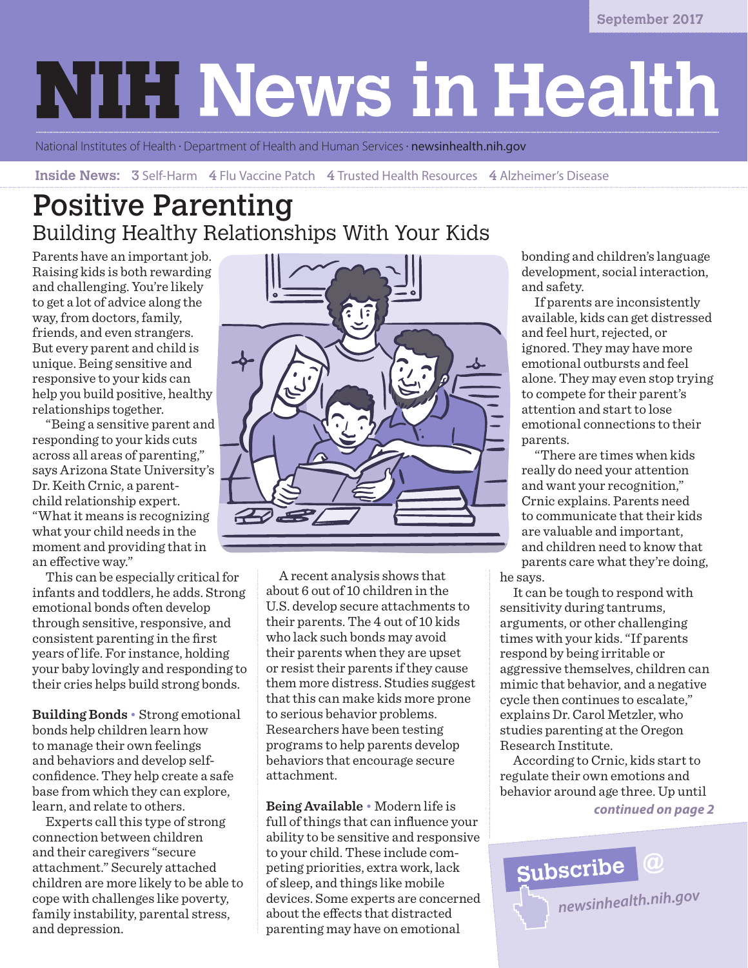# **NIH News in Health**

National Institutes of Health · Department of Health and Human Services · **newsinhealth.nih.gov** 

**Inside News: 3** Self-Harm 4 Flu Vaccine Patch 4 Trusted Health Resources 4 Alzheimer's Disease

# Positive Parenting Building Healthy Relationships With Your Kids

Parents have an important job. Raising kids is both rewarding and challenging. You're likely to get a lot of advice along the way, from doctors, family, friends, and even strangers. But every parent and child is unique. Being sensitive and responsive to your kids can help you build positive, healthy relationships together.

"Being a sensitive parent and responding to your kids cuts across all areas of parenting," says Arizona State University's Dr. Keith Crnic, a parentchild relationship expert. "What it means is recognizing what your child needs in the moment and providing that in an effective way."

This can be especially critical for infants and toddlers, he adds. Strong emotional bonds often develop through sensitive, responsive, and consistent parenting in the first years of life. For instance, holding your baby lovingly and responding to their cries helps build strong bonds.

**Building Bonds** • Strong emotional bonds help children learn how to manage their own feelings and behaviors and develop selfconfidence. They help create a safe base from which they can explore, learn, and relate to others.

Experts call this type of strong connection between children and their caregivers "secure attachment." Securely attached children are more likely to be able to cope with challenges like poverty, family instability, parental stress, and depression.



A recent analysis shows that about 6 out of 10 children in the U.S. develop secure attachments to their parents. The 4 out of 10 kids who lack such bonds may avoid their parents when they are upset or resist their parents if they cause them more distress. Studies suggest that this can make kids more prone to serious behavior problems. Researchers have been testing programs to help parents develop behaviors that encourage secure attachment.

**Being Available** • Modern life is full of things that can influence your ability to be sensitive and responsive to your child. These include competing priorities, extra work, lack of sleep, and things like mobile devices. Some experts are concerned about the effects that distracted parenting may have on emotional

bonding and children's language development, social interaction, and safety.

If parents are inconsistently available, kids can get distressed and feel hurt, rejected, or ignored. They may have more emotional outbursts and feel alone. They may even stop trying to compete for their parent's attention and start to lose emotional connections to their parents.

"There are times when kids really do need your attention and want your recognition," Crnic explains. Parents need to communicate that their kids are valuable and important, and children need to know that parents care what they're doing, he says.

It can be tough to respond with sensitivity during tantrums, arguments, or other challenging times with your kids. "If parents respond by being irritable or aggressive themselves, children can mimic that behavior, and a negative cycle then continues to escalate," explains Dr. Carol Metzler, who studies parenting at the Oregon Research Institute.

According to Crnic, kids start to regulate their own emotions and behavior around age three. Up until

*continued on page 2*

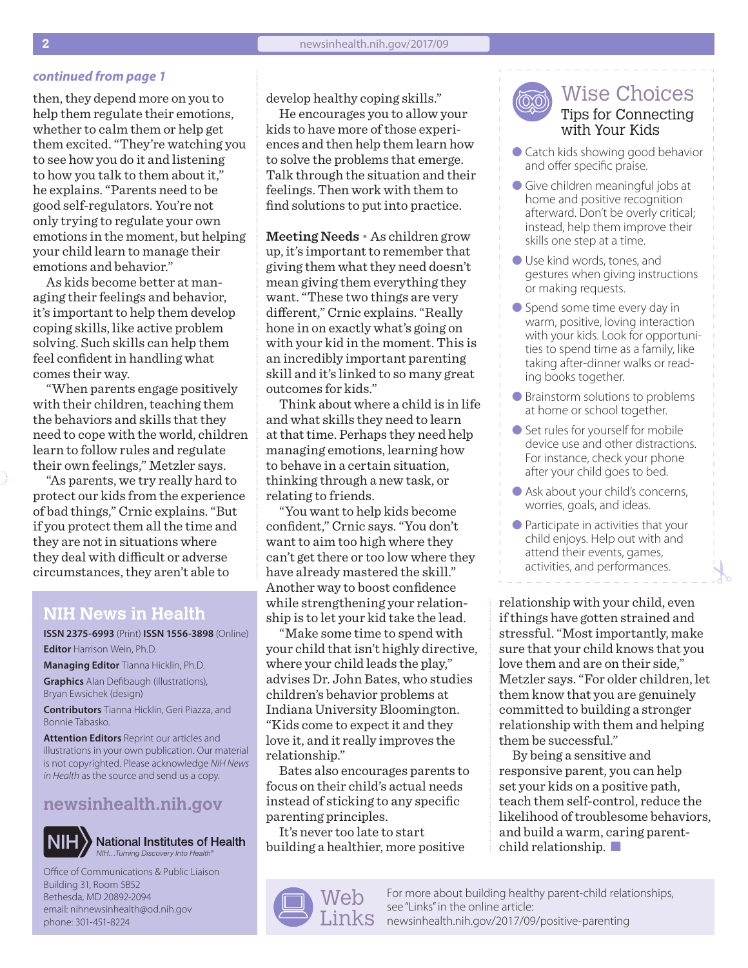#### *continued from page 1*

then, they depend more on you to help them regulate their emotions, whether to calm them or help get them excited. "They're watching you to see how you do it and listening to how you talk to them about it," he explains. "Parents need to be good self-regulators. You're not only trying to regulate your own emotions in the moment, but helping your child learn to manage their emotions and behavior."

As kids become better at managing their feelings and behavior, it's important to help them develop coping skills, like active problem solving. Such skills can help them feel confident in handling what comes their way.

"When parents engage positively with their children, teaching them the behaviors and skills that they need to cope with the world, children learn to follow rules and regulate their own feelings," Metzler says.

"As parents, we try really hard to protect our kids from the experience of bad things," Crnic explains. "But if you protect them all the time and they are not in situations where they deal with difficult or adverse circumstances, they aren't able to

#### **NIH News in Health**

**ISSN 2375-6993** (Print) **ISSN 1556-3898** (Online) **Editor** Harrison Wein, Ph.D.

**Managing Editor** Tianna Hicklin, Ph.D. **Graphics** Alan Defibaugh (illustrations), Bryan Ewsichek (design)

**Contributors** Tianna Hicklin, Geri Piazza, and Bonnie Tabasko.

**Attention Editors** Reprint our articles and illustrations in your own publication. Our material is not copyrighted. Please acknowledge *NIH News in Health* as the source and send us a copy.

#### **[newsinhealth.nih.gov](https://newsinhealth.nih.gov)**



**National Institutes of Health** *NIH…Turning Discovery Into Health®*

Office of Communications & Public Liaison Building 31, Room 5B52 Bethesda, MD 20892-2094 email: nihnewsinhealth@od.nih.gov phone: 301-451-8224

develop healthy coping skills."

He encourages you to allow your kids to have more of those experiences and then help them learn how to solve the problems that emerge. Talk through the situation and their feelings. Then work with them to find solutions to put into practice.

**Meeting Needs** • As children grow up, it's important to remember that giving them what they need doesn't mean giving them everything they want. "These two things are very different," Crnic explains. "Really hone in on exactly what's going on with your kid in the moment. This is an incredibly important parenting skill and it's linked to so many great outcomes for kids."

Think about where a child is in life and what skills they need to learn at that time. Perhaps they need help managing emotions, learning how to behave in a certain situation, thinking through a new task, or relating to friends.

"You want to help kids become confident," Crnic says. "You don't want to aim too high where they can't get there or too low where they have already mastered the skill." Another way to boost confidence while strengthening your relationship is to let your kid take the lead.

"Make some time to spend with your child that isn't highly directive, where your child leads the play," advises Dr. John Bates, who studies children's behavior problems at Indiana University Bloomington. "Kids come to expect it and they love it, and it really improves the relationship."

Bates also encourages parents to focus on their child's actual needs instead of sticking to any specific parenting principles.

It's never too late to start building a healthier, more positive



Wise Choices Tips for Connecting with Your Kids

- Catch kids showing good behavior and offer specific praise.
- Give children meaningful jobs at home and positive recognition afterward. Don't be overly critical; instead, help them improve their skills one step at a time.
- Use kind words, tones, and gestures when giving instructions or making requests.
- Spend some time every day in warm, positive, loving interaction with your kids. Look for opportunities to spend time as a family, like taking after-dinner walks or reading books together.
- Brainstorm solutions to problems at home or school together.
- Set rules for yourself for mobile device use and other distractions. For instance, check your phone after your child goes to bed.
- Ask about your child's concerns, worries, goals, and ideas.
- Participate in activities that your child enjoys. Help out with and attend their events, games, activities, and performances.

relationship with your child, even if things have gotten strained and stressful. "Most importantly, make sure that your child knows that you love them and are on their side," Metzler says. "For older children, let them know that you are genuinely committed to building a stronger relationship with them and helping them be successful."

By being a sensitive and responsive parent, you can help set your kids on a positive path, teach them self-control, reduce the likelihood of troublesome behaviors, and build a warm, caring parentchild relationship.  $\blacksquare$ 

For more about building healthy parent-child relationships, see "Links" in the online article: [newsinhealth.nih.gov/2017/0](https://newsinhealth.nih.gov/2017/09/responsive-parenting)9/positive-parenting

 $\mathcal{Y}$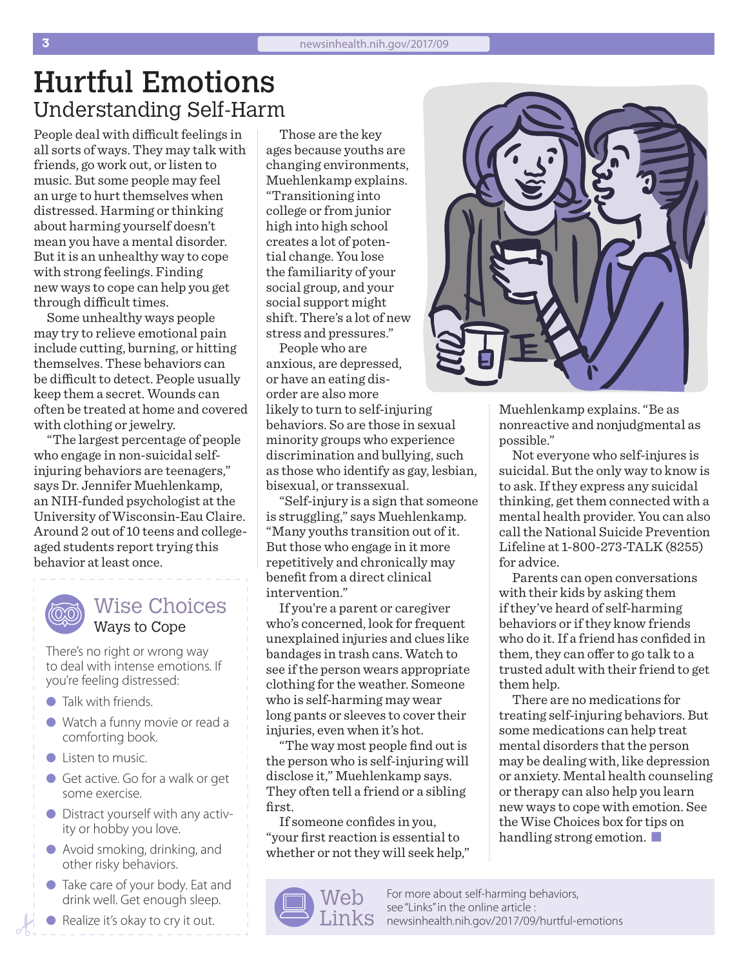## Hurtful Emotions Understanding Self-Harm

People deal with difficult feelings in all sorts of ways. They may talk with friends, go work out, or listen to music. But some people may feel an urge to hurt themselves when distressed. Harming or thinking about harming yourself doesn't mean you have a mental disorder. But it is an unhealthy way to cope with strong feelings. Finding new ways to cope can help you get through difficult times.

Some unhealthy ways people may try to relieve emotional pain include cutting, burning, or hitting themselves. These behaviors can be difficult to detect. People usually keep them a secret. Wounds can often be treated at home and covered with clothing or jewelry.

"The largest percentage of people who engage in non-suicidal selfinjuring behaviors are teenagers," says Dr. Jennifer Muehlenkamp, an NIH-funded psychologist at the University of Wisconsin-Eau Claire. Around 2 out of 10 teens and collegeaged students report trying this behavior at least once.

> Wise Choices Ways to Cope

There's no right or wrong way to deal with intense emotions. If you're feeling distressed:

- $\bullet$  Talk with friends.
- Watch a funny movie or read a comforting book.
- $\bullet$  Listen to music.
- Get active. Go for a walk or get some exercise.
- **•** Distract yourself with any activity or hobby you love.
- Avoid smoking, drinking, and other risky behaviors.
- l Take care of your body. Eat and drink well. Get enough sleep.
- Realize it's okay to cry it out.

Those are the key ages because youths are changing environments, Muehlenkamp explains. "Transitioning into college or from junior high into high school creates a lot of potential change. You lose the familiarity of your social group, and your social support might shift. There's a lot of new stress and pressures."

People who are anxious, are depressed, or have an eating disorder are also more

likely to turn to self-injuring behaviors. So are those in sexual minority groups who experience discrimination and bullying, such as those who identify as gay, lesbian, bisexual, or transsexual.

"Self-injury is a sign that someone is struggling," says Muehlenkamp. "Many youths transition out of it. But those who engage in it more repetitively and chronically may benefit from a direct clinical intervention."

If you're a parent or caregiver who's concerned, look for frequent unexplained injuries and clues like bandages in trash cans. Watch to see if the person wears appropriate clothing for the weather. Someone who is self-harming may wear long pants or sleeves to cover their injuries, even when it's hot.

"The way most people find out is the person who is self-injuring will disclose it," Muehlenkamp says. They often tell a friend or a sibling first.

If someone confides in you, "your first reaction is essential to whether or not they will seek help,"





Muehlenkamp explains. "Be as nonreactive and nonjudgmental as possible."

Not everyone who self-injures is suicidal. But the only way to know is to ask. If they express any suicidal thinking, get them connected with a mental health provider. You can also call the National Suicide Prevention Lifeline at 1-800-273-TALK (8255) for advice.

Parents can open conversations with their kids by asking them if they've heard of self-harming behaviors or if they know friends who do it. If a friend has confided in them, they can offer to go talk to a trusted adult with their friend to get them help.

There are no medications for treating self-injuring behaviors. But some medications can help treat mental disorders that the person may be dealing with, like depression or anxiety. Mental health counseling or therapy can also help you learn new ways to cope with emotion. See the Wise Choices box for tips on handling strong emotion.  $\blacksquare$ 

For more about self-harming behaviors, see "Links" in the online article :  $\text{Links}$  [newsinhealth.nih.gov/2017/09/hurtful-emotions](https://newsinhealth.nih.gov/2017/09/hurtful-emotions)